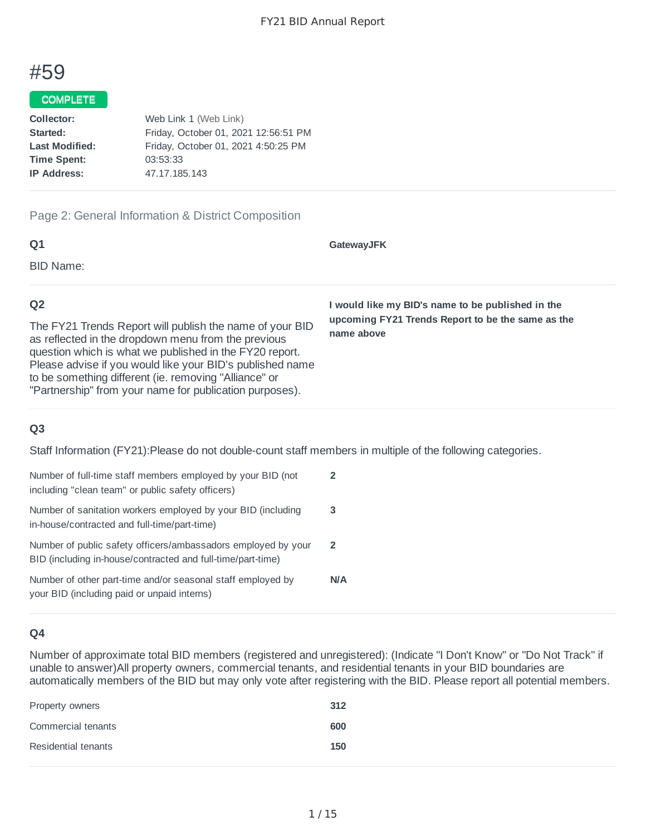# #59

#### COMPLETE

| Web Link 1 (Web Link)                |
|--------------------------------------|
| Friday, October 01, 2021 12:56:51 PM |
| Friday, October 01, 2021 4:50:25 PM  |
| 03:53:33                             |
| 47.17.185.143                        |
|                                      |

#### Page 2: General Information & District Composition

Please advise if you would like your BID's published name

to be something different (ie. removing "Alliance" or "Partnership" from your name for publication purposes).

| Q <sub>1</sub>                                                                                                                                                             | <b>GatewayJFK</b>                                               |
|----------------------------------------------------------------------------------------------------------------------------------------------------------------------------|-----------------------------------------------------------------|
| BID Name:                                                                                                                                                                  |                                                                 |
| Q <sub>2</sub>                                                                                                                                                             | I would like my BID's name to be published in the               |
| The FY21 Trends Report will publish the name of your BID<br>as reflected in the dropdown menu from the previous<br>question which is what we published in the FY20 report. | upcoming FY21 Trends Report to be the same as the<br>name above |

# **Q3**

Staff Information (FY21):Please do not double-count staff members in multiple of the following categories.

| Number of full-time staff members employed by your BID (not<br>including "clean team" or public safety officers)             | 2              |
|------------------------------------------------------------------------------------------------------------------------------|----------------|
| Number of sanitation workers employed by your BID (including<br>in-house/contracted and full-time/part-time)                 | 3              |
| Number of public safety officers/ambassadors employed by your<br>BID (including in-house/contracted and full-time/part-time) | $\overline{2}$ |
| Number of other part-time and/or seasonal staff employed by<br>your BID (including paid or unpaid interns)                   | <b>N/A</b>     |

#### **Q4**

Number of approximate total BID members (registered and unregistered): (Indicate "I Don't Know" or "Do Not Track" if unable to answer)All property owners, commercial tenants, and residential tenants in your BID boundaries are automatically members of the BID but may only vote after registering with the BID. Please report all potential members.

| Property owners     | 312 |
|---------------------|-----|
| Commercial tenants  | 600 |
| Residential tenants | 150 |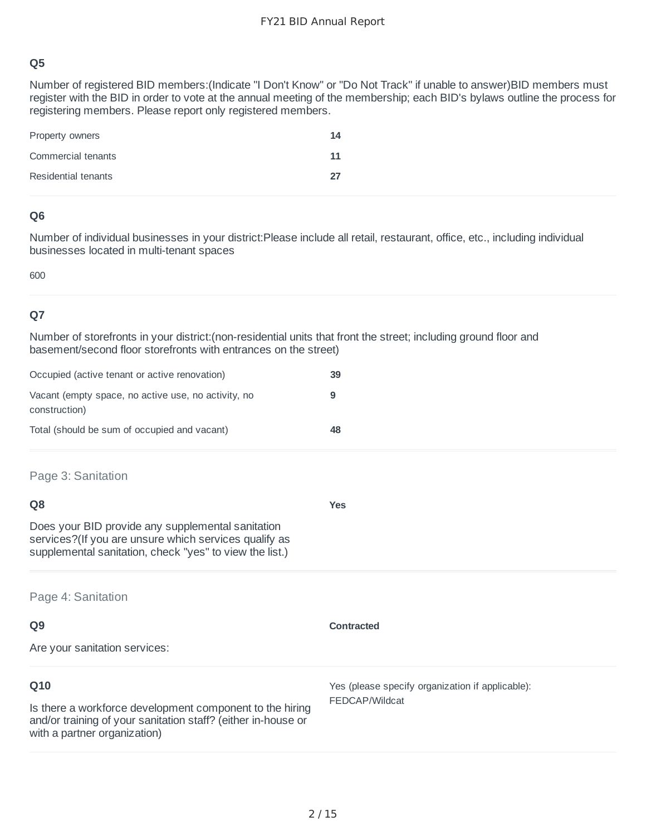Number of registered BID members:(Indicate "I Don't Know" or "Do Not Track" if unable to answer)BID members must register with the BID in order to vote at the annual meeting of the membership; each BID's bylaws outline the process for registering members. Please report only registered members.

| Property owners     | 14 |
|---------------------|----|
| Commercial tenants  | 11 |
| Residential tenants | 27 |

# **Q6**

Number of individual businesses in your district:Please include all retail, restaurant, office, etc., including individual businesses located in multi-tenant spaces

600

# **Q7**

Number of storefronts in your district:(non-residential units that front the street; including ground floor and basement/second floor storefronts with entrances on the street)

| Occupied (active tenant or active renovation)                        | 39 |
|----------------------------------------------------------------------|----|
| Vacant (empty space, no active use, no activity, no<br>construction) |    |
| Total (should be sum of occupied and vacant)                         | 48 |

Page 3: Sanitation

| O8                                                                                                                                                                     | Yes |
|------------------------------------------------------------------------------------------------------------------------------------------------------------------------|-----|
| Does your BID provide any supplemental sanitation<br>services? (If you are unsure which services qualify as<br>supplemental sanitation, check "yes" to view the list.) |     |

Page 4: Sanitation

| Q <sub>9</sub>                                                                                                                                                   | <b>Contracted</b>                                                  |
|------------------------------------------------------------------------------------------------------------------------------------------------------------------|--------------------------------------------------------------------|
| Are your sanitation services:                                                                                                                                    |                                                                    |
| Q10<br>Is there a workforce development component to the hiring<br>and/or training of your sanitation staff? (either in-house or<br>with a partner organization) | Yes (please specify organization if applicable):<br>FEDCAP/Wildcat |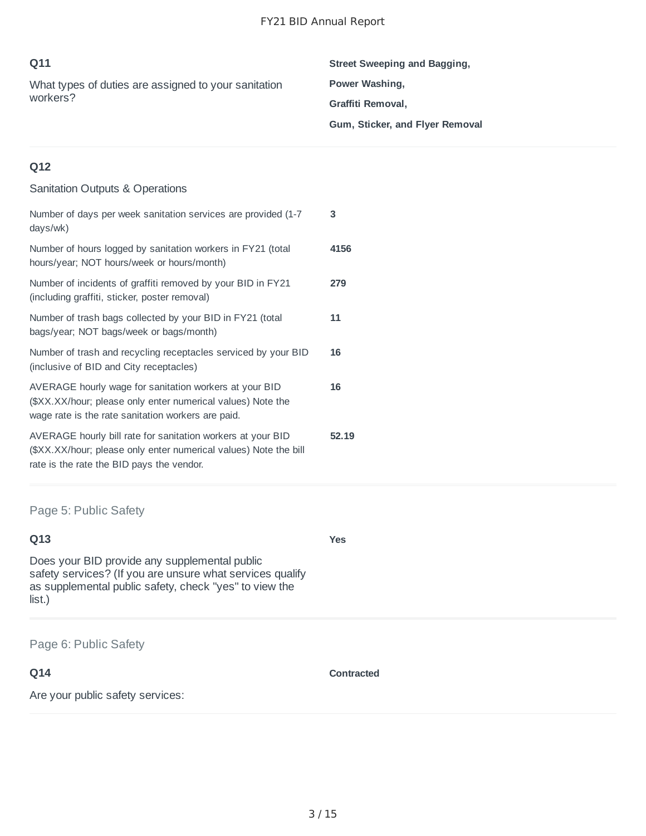| Q11<br>What types of duties are assigned to your sanitation<br>workers? | Street Sweeping and Bagging,<br>Power Washing,<br>Graffiti Removal,<br>Gum, Sticker, and Flyer Removal |
|-------------------------------------------------------------------------|--------------------------------------------------------------------------------------------------------|
| Q12<br><b>Sanitation Outputs &amp; Operations</b>                       |                                                                                                        |

| Number of days per week sanitation services are provided (1-7)<br>days/wk)                                                                                                   | 3     |
|------------------------------------------------------------------------------------------------------------------------------------------------------------------------------|-------|
| Number of hours logged by sanitation workers in FY21 (total<br>hours/year; NOT hours/week or hours/month)                                                                    | 4156  |
| Number of incidents of graffiti removed by your BID in FY21<br>(including graffiti, sticker, poster removal)                                                                 | 279   |
| Number of trash bags collected by your BID in FY21 (total<br>bags/year; NOT bags/week or bags/month)                                                                         | 11    |
| Number of trash and recycling receptacles serviced by your BID<br>(inclusive of BID and City receptacles)                                                                    | 16    |
| AVERAGE hourly wage for sanitation workers at your BID<br>(\$XX.XX/hour; please only enter numerical values) Note the<br>wage rate is the rate sanitation workers are paid.  | 16    |
| AVERAGE hourly bill rate for sanitation workers at your BID<br>(\$XX.XX/hour; please only enter numerical values) Note the bill<br>rate is the rate the BID pays the vendor. | 52.19 |

Page 5: Public Safety

#### **Q13**

Does your BID provide any supplemental public safety services? (If you are unsure what services qualify as supplemental public safety, check "yes" to view the list.)

#### Page 6: Public Safety

# **Q14**

Are your public safety services:

**Contracted**

**Yes**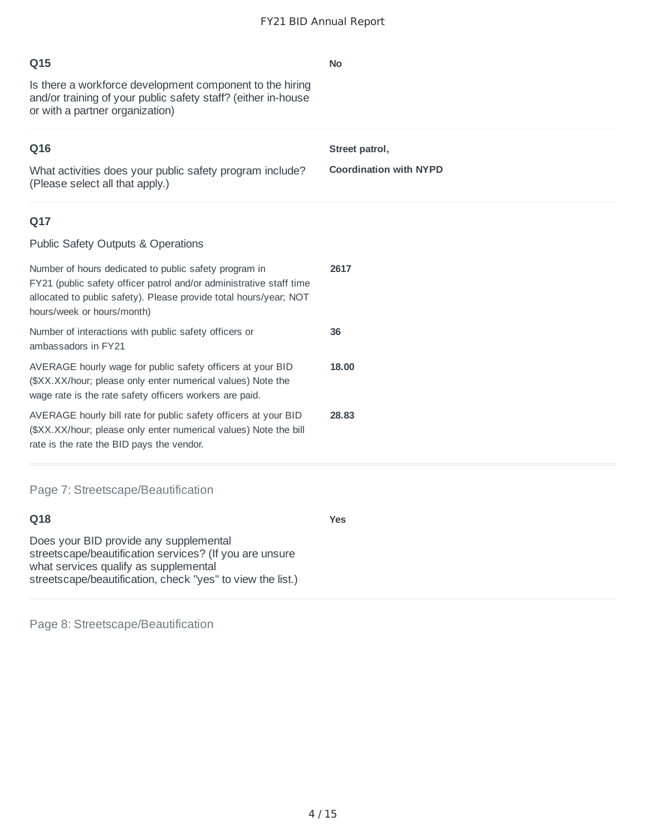| Q15                                                                                                                                                                                                                             | <b>No</b>                     |
|---------------------------------------------------------------------------------------------------------------------------------------------------------------------------------------------------------------------------------|-------------------------------|
| Is there a workforce development component to the hiring<br>and/or training of your public safety staff? (either in-house<br>or with a partner organization)                                                                    |                               |
| Q16                                                                                                                                                                                                                             | Street patrol,                |
| What activities does your public safety program include?<br>(Please select all that apply.)                                                                                                                                     | <b>Coordination with NYPD</b> |
| Q17                                                                                                                                                                                                                             |                               |
| <b>Public Safety Outputs &amp; Operations</b>                                                                                                                                                                                   |                               |
| Number of hours dedicated to public safety program in<br>FY21 (public safety officer patrol and/or administrative staff time<br>allocated to public safety). Please provide total hours/year; NOT<br>hours/week or hours/month) | 2617                          |
| Number of interactions with public safety officers or<br>ambassadors in FY21                                                                                                                                                    | 36                            |
| AVERAGE hourly wage for public safety officers at your BID<br>(\$XX.XX/hour; please only enter numerical values) Note the<br>wage rate is the rate safety officers workers are paid.                                            | 18.00                         |
| AVERAGE hourly bill rate for public safety officers at your BID<br>(\$XX.XX/hour; please only enter numerical values) Note the bill<br>rate is the rate the BID pays the vendor.                                                | 28.83                         |
| Page 7: Streetscape/Beautification                                                                                                                                                                                              |                               |
| Q18                                                                                                                                                                                                                             | <b>Yes</b>                    |
| Does your BID provide any supplemental<br>streetscape/beautification services? (If you are unsure<br>what services qualify as supplemental<br>streetscape/beautification, check "yes" to view the list.)                        |                               |

Page 8: Streetscape/Beautification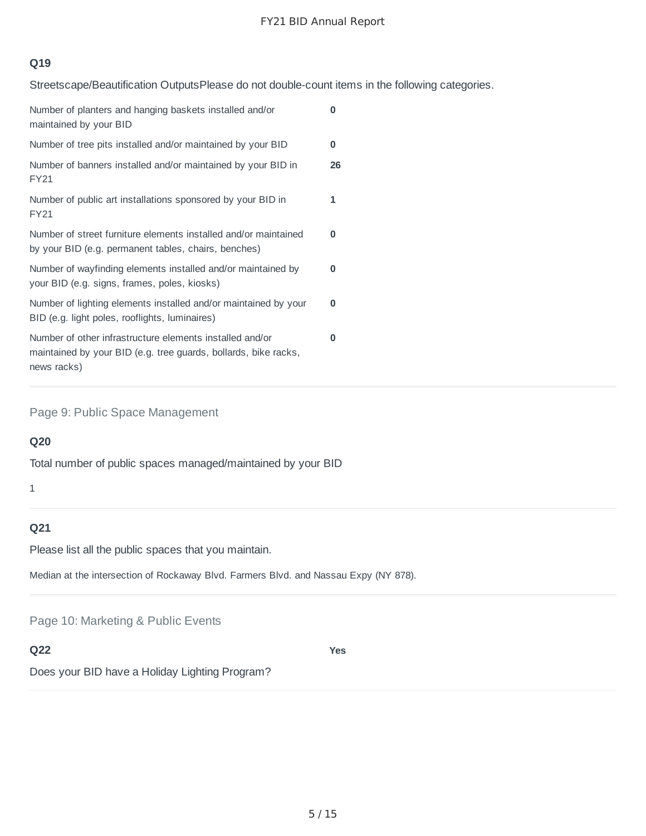# **Q19**

Streetscape/Beautification OutputsPlease do not double-count items in the following categories.

| Number of planters and hanging baskets installed and/or<br>maintained by your BID                                                          | 0  |
|--------------------------------------------------------------------------------------------------------------------------------------------|----|
| Number of tree pits installed and/or maintained by your BID                                                                                | 0  |
| Number of banners installed and/or maintained by your BID in<br><b>FY21</b>                                                                | 26 |
| Number of public art installations sponsored by your BID in<br><b>FY21</b>                                                                 | 1  |
| Number of street furniture elements installed and/or maintained<br>by your BID (e.g. permanent tables, chairs, benches)                    | 0  |
| Number of wayfinding elements installed and/or maintained by<br>your BID (e.g. signs, frames, poles, kiosks)                               | 0  |
| Number of lighting elements installed and/or maintained by your<br>BID (e.g. light poles, rooflights, luminaires)                          | 0  |
| Number of other infrastructure elements installed and/or<br>maintained by your BID (e.g. tree guards, bollards, bike racks,<br>news racks) | 0  |

Page 9: Public Space Management

# **Q20**

Total number of public spaces managed/maintained by your BID

1

# **Q21**

Please list all the public spaces that you maintain.

Median at the intersection of Rockaway Blvd. Farmers Blvd. and Nassau Expy (NY 878).

Page 10: Marketing & Public Events

**Q22**

**Yes**

Does your BID have a Holiday Lighting Program?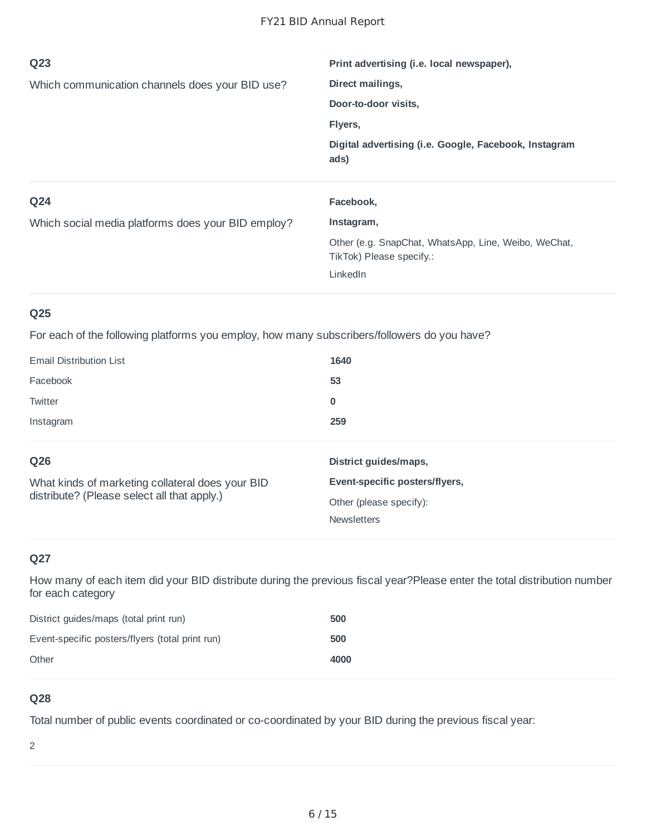| Q <sub>23</sub>                                    | Print advertising (i.e. local newspaper),                     |
|----------------------------------------------------|---------------------------------------------------------------|
| Which communication channels does your BID use?    | Direct mailings,                                              |
|                                                    | Door-to-door visits,                                          |
|                                                    | Flyers,                                                       |
|                                                    | Digital advertising (i.e. Google, Facebook, Instagram<br>ads) |
|                                                    |                                                               |
| Q <sub>24</sub>                                    | Facebook,                                                     |
| Which social media platforms does your BID employ? | Instagram,                                                    |

For each of the following platforms you employ, how many subscribers/followers do you have?

| <b>Email Distribution List</b>                                                                  | 1640                           |
|-------------------------------------------------------------------------------------------------|--------------------------------|
| Facebook                                                                                        | 53                             |
| Twitter                                                                                         | 0                              |
| Instagram                                                                                       | 259                            |
| Q26                                                                                             | District guides/maps,          |
| What kinds of marketing collateral does your BID<br>distribute? (Please select all that apply.) | Event-specific posters/flyers, |
|                                                                                                 | Other (please specify):        |
|                                                                                                 | <b>Newsletters</b>             |

# **Q27**

How many of each item did your BID distribute during the previous fiscal year?Please enter the total distribution number for each category

| District guides/maps (total print run)          | 500  |
|-------------------------------------------------|------|
| Event-specific posters/flyers (total print run) | 500  |
| Other                                           | 4000 |

# **Q28**

Total number of public events coordinated or co-coordinated by your BID during the previous fiscal year:

2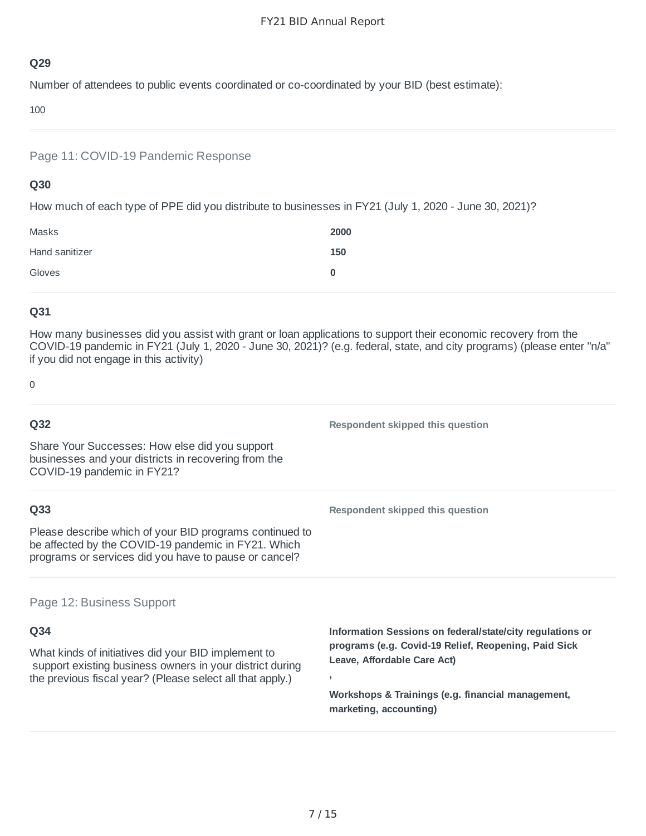Number of attendees to public events coordinated or co-coordinated by your BID (best estimate):

100

Page 11: COVID-19 Pandemic Response

## **Q30**

How much of each type of PPE did you distribute to businesses in FY21 (July 1, 2020 - June 30, 2021)?

| Masks          | 2000 |
|----------------|------|
| Hand sanitizer | 150  |
| Gloves         | 0    |

# **Q31**

How many businesses did you assist with grant or loan applications to support their economic recovery from the COVID-19 pandemic in FY21 (July 1, 2020 - June 30, 2021)? (e.g. federal, state, and city programs) (please enter "n/a" if you did not engage in this activity)

0

| Q32                                                                                                                                                                          | Respondent skipped this question                                                                                |
|------------------------------------------------------------------------------------------------------------------------------------------------------------------------------|-----------------------------------------------------------------------------------------------------------------|
| Share Your Successes: How else did you support<br>businesses and your districts in recovering from the<br>COVID-19 pandemic in FY21?                                         |                                                                                                                 |
| Q33                                                                                                                                                                          | Respondent skipped this question                                                                                |
| Please describe which of your BID programs continued to<br>be affected by the COVID-19 pandemic in FY21. Which<br>programs or services did you have to pause or cancel?      |                                                                                                                 |
| Page 12: Business Support                                                                                                                                                    |                                                                                                                 |
| Q34                                                                                                                                                                          | Information Sessions on federal/state/city regulations or                                                       |
| What kinds of initiatives did your BID implement to<br>support existing business owners in your district during<br>the previous fiscal year? (Please select all that apply.) | programs (e.g. Covid-19 Relief, Reopening, Paid Sick<br>Leave, Affordable Care Act)<br>$\overline{\phantom{a}}$ |

**Workshops & Trainings (e.g. financial management, marketing, accounting)**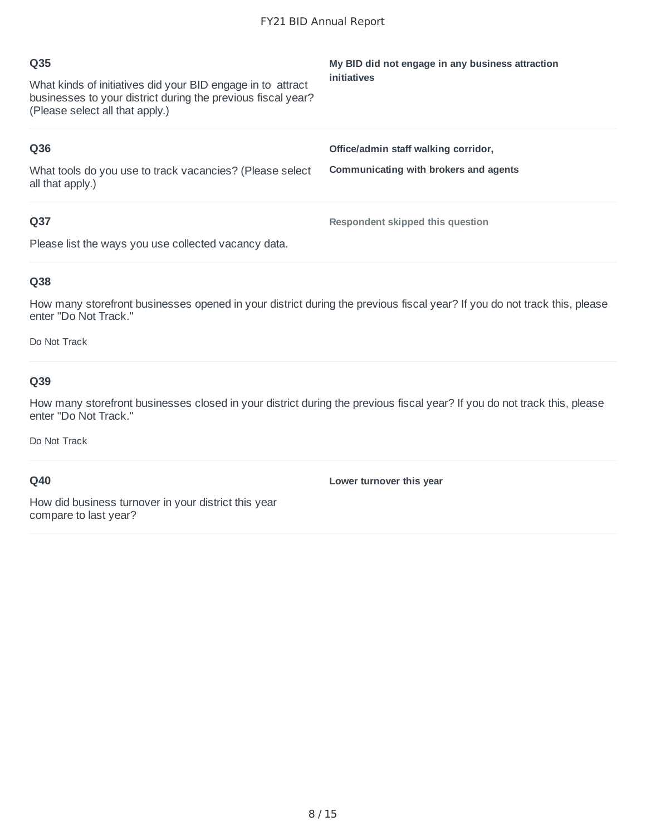| Q35<br>What kinds of initiatives did your BID engage in to attract<br>businesses to your district during the previous fiscal year?<br>(Please select all that apply.) | My BID did not engage in any business attraction<br>initiatives               |
|-----------------------------------------------------------------------------------------------------------------------------------------------------------------------|-------------------------------------------------------------------------------|
| Q36<br>What tools do you use to track vacancies? (Please select<br>all that apply.)                                                                                   | Office/admin staff walking corridor,<br>Communicating with brokers and agents |
| Q37<br>Please list the ways you use collected vacancy data.                                                                                                           | Respondent skipped this question                                              |

How many storefront businesses opened in your district during the previous fiscal year? If you do not track this, please enter "Do Not Track."

Do Not Track

#### **Q39**

How many storefront businesses closed in your district during the previous fiscal year? If you do not track this, please enter "Do Not Track."

Do Not Track

#### **Q40**

**Lower turnover this year**

How did business turnover in your district this year compare to last year?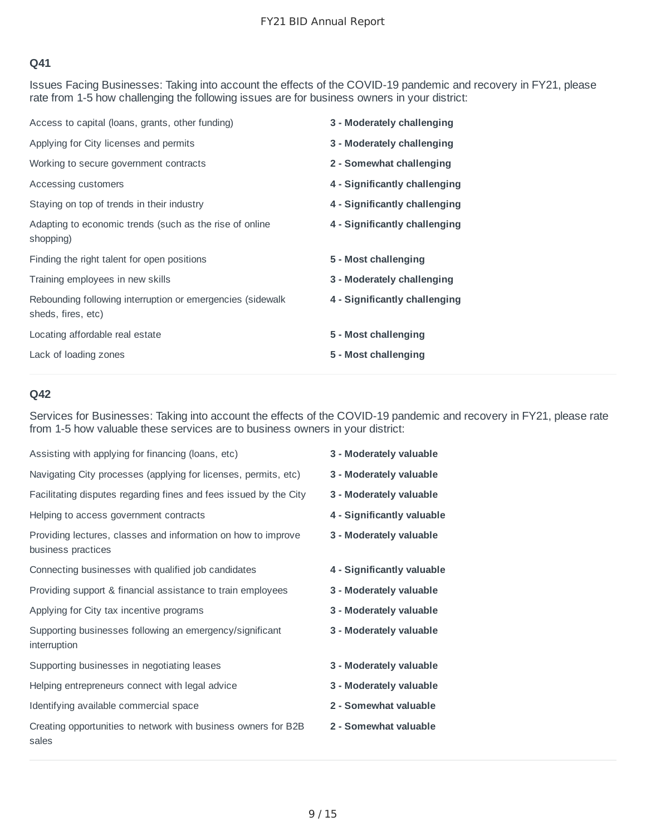Issues Facing Businesses: Taking into account the effects of the COVID-19 pandemic and recovery in FY21, please rate from 1-5 how challenging the following issues are for business owners in your district:

| 3 - Moderately challenging    |
|-------------------------------|
| 3 - Moderately challenging    |
| 2 - Somewhat challenging      |
| 4 - Significantly challenging |
| 4 - Significantly challenging |
| 4 - Significantly challenging |
| 5 - Most challenging          |
| 3 - Moderately challenging    |
| 4 - Significantly challenging |
| 5 - Most challenging          |
| 5 - Most challenging          |
|                               |

#### **Q42**

Services for Businesses: Taking into account the effects of the COVID-19 pandemic and recovery in FY21, please rate from 1-5 how valuable these services are to business owners in your district:

| Assisting with applying for financing (loans, etc)                                  | 3 - Moderately valuable    |
|-------------------------------------------------------------------------------------|----------------------------|
| Navigating City processes (applying for licenses, permits, etc)                     | 3 - Moderately valuable    |
| Facilitating disputes regarding fines and fees issued by the City                   | 3 - Moderately valuable    |
| Helping to access government contracts                                              | 4 - Significantly valuable |
| Providing lectures, classes and information on how to improve<br>business practices | 3 - Moderately valuable    |
| Connecting businesses with qualified job candidates                                 | 4 - Significantly valuable |
| Providing support & financial assistance to train employees                         | 3 - Moderately valuable    |
| Applying for City tax incentive programs                                            | 3 - Moderately valuable    |
| Supporting businesses following an emergency/significant<br>interruption            | 3 - Moderately valuable    |
| Supporting businesses in negotiating leases                                         | 3 - Moderately valuable    |
| Helping entrepreneurs connect with legal advice                                     | 3 - Moderately valuable    |
| Identifying available commercial space                                              | 2 - Somewhat valuable      |
| Creating opportunities to network with business owners for B2B<br>sales             | 2 - Somewhat valuable      |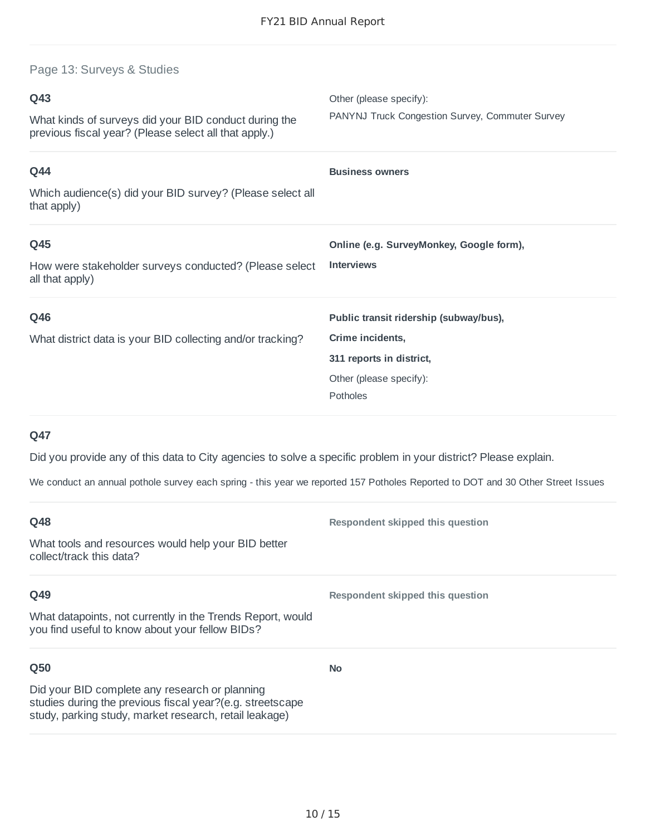Page 13: Surveys & Studies

| Q43<br>What kinds of surveys did your BID conduct during the<br>previous fiscal year? (Please select all that apply.) | Other (please specify):<br>PANYNJ Truck Congestion Survey, Commuter Survey                                                    |
|-----------------------------------------------------------------------------------------------------------------------|-------------------------------------------------------------------------------------------------------------------------------|
| Q44<br>Which audience(s) did your BID survey? (Please select all<br>that apply)                                       | <b>Business owners</b>                                                                                                        |
| Q45<br>How were stakeholder surveys conducted? (Please select<br>all that apply)                                      | Online (e.g. SurveyMonkey, Google form),<br><b>Interviews</b>                                                                 |
| Q46<br>What district data is your BID collecting and/or tracking?                                                     | Public transit ridership (subway/bus),<br>Crime incidents,<br>311 reports in district,<br>Other (please specify):<br>Potholes |

# **Q47**

Did you provide any of this data to City agencies to solve a specific problem in your district? Please explain.

We conduct an annual pothole survey each spring - this year we reported 157 Potholes Reported to DOT and 30 Other Street Issues

| Q48                                                                                                                                                                   | Respondent skipped this question |
|-----------------------------------------------------------------------------------------------------------------------------------------------------------------------|----------------------------------|
| What tools and resources would help your BID better<br>collect/track this data?                                                                                       |                                  |
| Q49                                                                                                                                                                   | Respondent skipped this question |
| What datapoints, not currently in the Trends Report, would<br>you find useful to know about your fellow BIDs?                                                         |                                  |
| Q <sub>50</sub>                                                                                                                                                       | <b>No</b>                        |
| Did your BID complete any research or planning<br>studies during the previous fiscal year?(e.g. streetscape<br>study, parking study, market research, retail leakage) |                                  |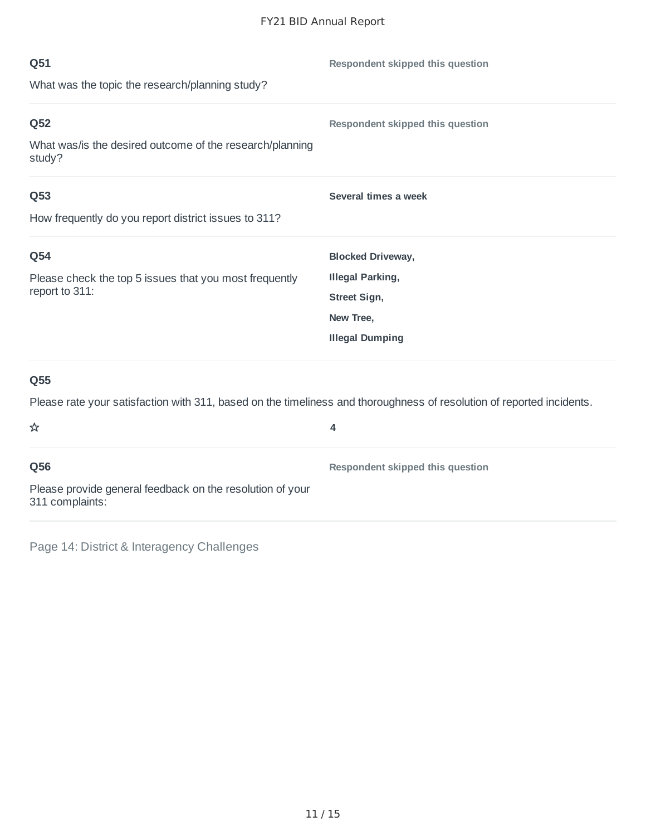| Q51                                                                      | Respondent skipped this question |
|--------------------------------------------------------------------------|----------------------------------|
| What was the topic the research/planning study?                          |                                  |
| Q52                                                                      | Respondent skipped this question |
| What was/is the desired outcome of the research/planning<br>study?       |                                  |
| Q53                                                                      | Several times a week             |
| How frequently do you report district issues to 311?                     |                                  |
| Q54                                                                      | <b>Blocked Driveway,</b>         |
| Please check the top 5 issues that you most frequently<br>report to 311: | <b>Illegal Parking,</b>          |
|                                                                          | Street Sign,                     |
|                                                                          | New Tree,                        |
|                                                                          | <b>Illegal Dumping</b>           |
|                                                                          |                                  |

Please rate your satisfaction with 311, based on the timeliness and thoroughness of resolution of reported incidents.

| ☆                                                                            | 4                                |
|------------------------------------------------------------------------------|----------------------------------|
| Q56                                                                          | Respondent skipped this question |
| Please provide general feedback on the resolution of your<br>311 complaints: |                                  |

Page 14: District & Interagency Challenges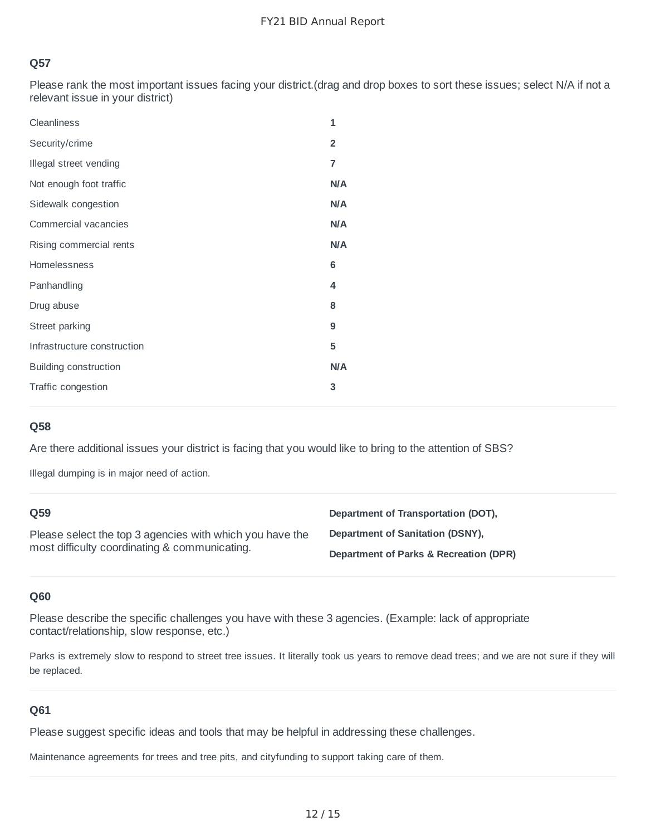Please rank the most important issues facing your district.(drag and drop boxes to sort these issues; select N/A if not a relevant issue in your district)

| Cleanliness                  | 1                       |
|------------------------------|-------------------------|
| Security/crime               | $\overline{\mathbf{c}}$ |
| Illegal street vending       | $\overline{\mathbf{z}}$ |
| Not enough foot traffic      | N/A                     |
| Sidewalk congestion          | <b>N/A</b>              |
| Commercial vacancies         | <b>N/A</b>              |
| Rising commercial rents      | <b>N/A</b>              |
| Homelessness                 | 6                       |
| Panhandling                  | 4                       |
| Drug abuse                   | 8                       |
| Street parking               | 9                       |
| Infrastructure construction  | 5                       |
| <b>Building construction</b> | N/A                     |
| Traffic congestion           | 3                       |

# **Q58**

Are there additional issues your district is facing that you would like to bring to the attention of SBS?

Illegal dumping is in major need of action.

| O <sub>59</sub>                                                                                           | Department of Transportation (DOT),    |
|-----------------------------------------------------------------------------------------------------------|----------------------------------------|
| Please select the top 3 agencies with which you have the<br>most difficulty coordinating & communicating. | Department of Sanitation (DSNY),       |
|                                                                                                           | Department of Parks & Recreation (DPR) |

#### **Q60**

Please describe the specific challenges you have with these 3 agencies. (Example: lack of appropriate contact/relationship, slow response, etc.)

Parks is extremely slow to respond to street tree issues. It literally took us years to remove dead trees; and we are not sure if they will be replaced.

#### **Q61**

Please suggest specific ideas and tools that may be helpful in addressing these challenges.

Maintenance agreements for trees and tree pits, and cityfunding to support taking care of them.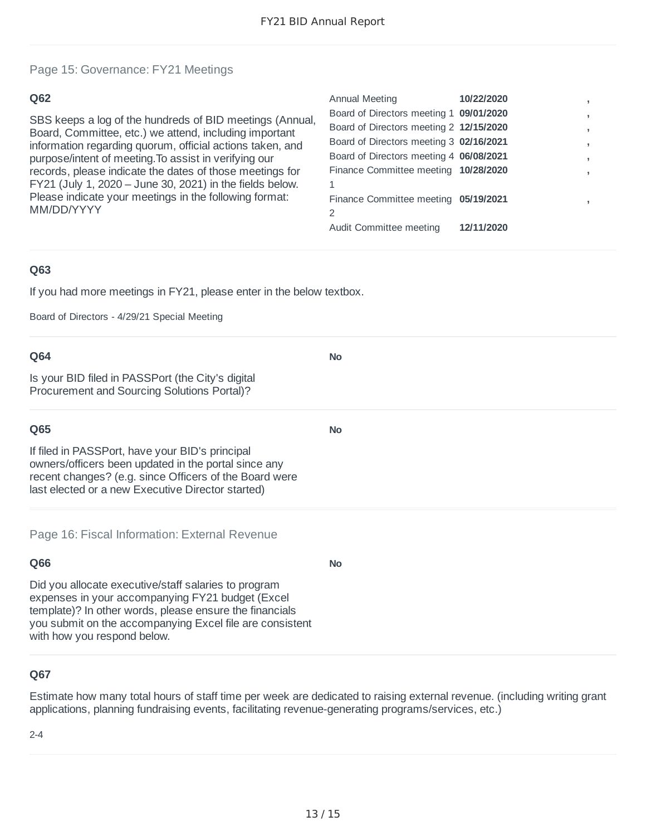**No**

**No**

**No**

#### Page 15: Governance: FY21 Meetings

#### **Q62**

SBS keeps a log of the hundreds of BID meetings (Annual, Board, Committee, etc.) we attend, including important information regarding quorum, official actions taken, and purpose/intent of meeting.To assist in verifying our records, please indicate the dates of those meetings for FY21 (July 1, 2020 – June 30, 2021) in the fields below. Please indicate your meetings in the following format: MM/DD/YYYY

| Annual Meeting                          | 10/22/2020 |   |
|-----------------------------------------|------------|---|
| Board of Directors meeting 1 09/01/2020 |            | , |
| Board of Directors meeting 2 12/15/2020 |            | , |
| Board of Directors meeting 3 02/16/2021 |            | , |
| Board of Directors meeting 4 06/08/2021 |            | , |
| Finance Committee meeting 10/28/2020    |            |   |
|                                         |            |   |
| Finance Committee meeting 05/19/2021    |            |   |
| 2                                       |            |   |
| Audit Committee meeting                 | 12/11/2020 |   |
|                                         |            |   |

#### **Q63**

If you had more meetings in FY21, please enter in the below textbox.

Board of Directors - 4/29/21 Special Meeting

#### **Q64**

Is your BID filed in PASSPort (the City's digital Procurement and Sourcing Solutions Portal)?

#### **Q65**

If filed in PASSPort, have your BID's principal owners/officers been updated in the portal since any recent changes? (e.g. since Officers of the Board were last elected or a new Executive Director started)

Page 16: Fiscal Information: External Revenue

# **Q66**

Did you allocate executive/staff salaries to program expenses in your accompanying FY21 budget (Excel template)? In other words, please ensure the financials you submit on the accompanying Excel file are consistent with how you respond below.

#### **Q67**

Estimate how many total hours of staff time per week are dedicated to raising external revenue. (including writing grant applications, planning fundraising events, facilitating revenue-generating programs/services, etc.)

 $2 - 4$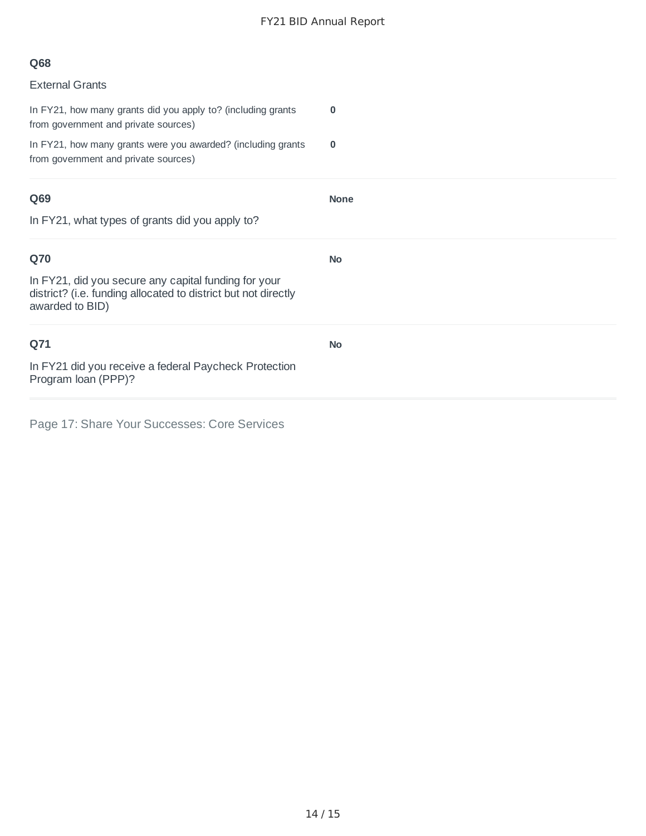# **Q68**

| <b>External Grants</b>                                                                                                                    |             |
|-------------------------------------------------------------------------------------------------------------------------------------------|-------------|
| In FY21, how many grants did you apply to? (including grants<br>from government and private sources)                                      | $\bf{0}$    |
| In FY21, how many grants were you awarded? (including grants<br>from government and private sources)                                      | $\bf{0}$    |
| Q69                                                                                                                                       | <b>None</b> |
| In FY21, what types of grants did you apply to?                                                                                           |             |
| Q70                                                                                                                                       | <b>No</b>   |
| In FY21, did you secure any capital funding for your<br>district? (i.e. funding allocated to district but not directly<br>awarded to BID) |             |
| Q71                                                                                                                                       | <b>No</b>   |
| In FY21 did you receive a federal Paycheck Protection<br>Program loan (PPP)?                                                              |             |

Page 17: Share Your Successes: Core Services